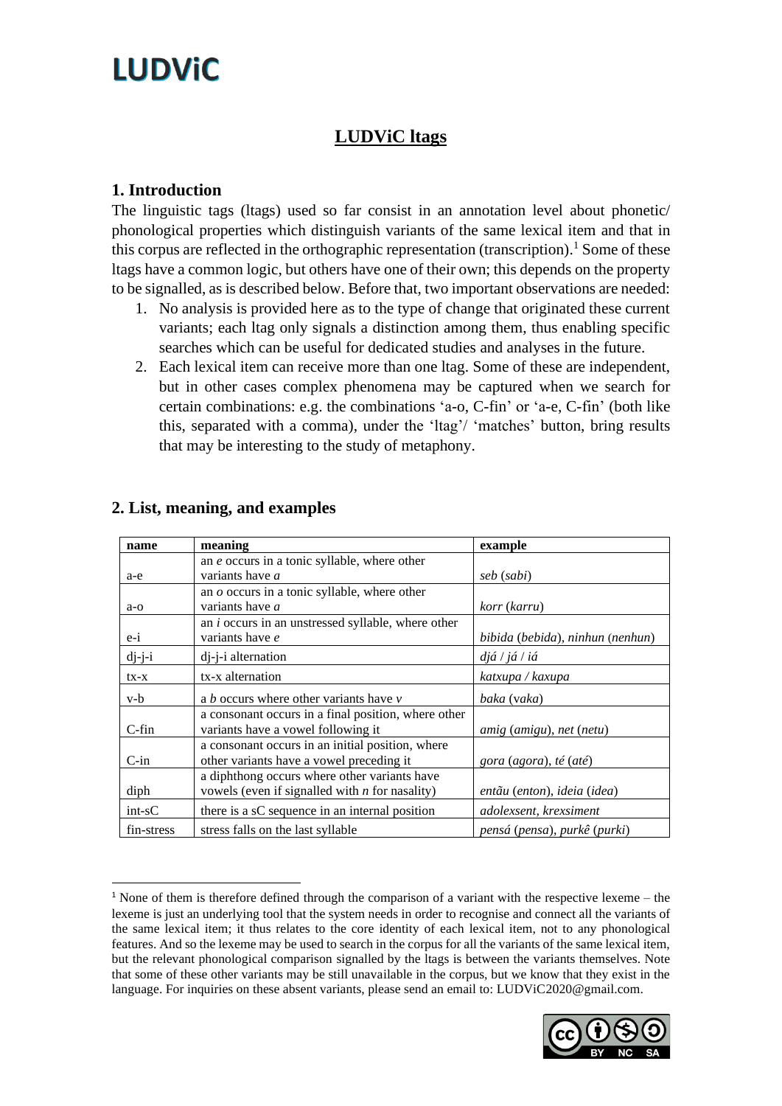# **LUDViC**

## **LUDViC ltags**

### **1. Introduction**

The linguistic tags (ltags) used so far consist in an annotation level about phonetic/ phonological properties which distinguish variants of the same lexical item and that in this corpus are reflected in the orthographic representation (transcription). <sup>1</sup> Some of these ltags have a common logic, but others have one of their own; this depends on the property to be signalled, as is described below. Before that, two important observations are needed:

- 1. No analysis is provided here as to the type of change that originated these current variants; each ltag only signals a distinction among them, thus enabling specific searches which can be useful for dedicated studies and analyses in the future.
- 2. Each lexical item can receive more than one ltag. Some of these are independent, but in other cases complex phenomena may be captured when we search for certain combinations: e.g. the combinations 'a-o, C-fin' or 'a-e, C-fin' (both like this, separated with a comma), under the 'ltag'/ 'matches' button, bring results that may be interesting to the study of metaphony.

| name       | meaning                                                   | example                          |
|------------|-----------------------------------------------------------|----------------------------------|
|            | an $e$ occurs in a tonic syllable, where other            |                                  |
| a-e        | variants have a                                           | seb (sabi)                       |
|            | an $o$ occurs in a tonic syllable, where other            |                                  |
| $a - o$    | variants have a                                           | korr (karru)                     |
|            | an <i>i</i> occurs in an unstressed syllable, where other |                                  |
| $e-i$      | variants have e                                           | bibida (bebida), ninhun (nenhun) |
| $dj-j-i$   | dj-j-i alternation                                        | djá / já / iá                    |
| $tx-x$     | tx-x alternation                                          | katxupa / kaxupa                 |
| $v-b$      | a <i>b</i> occurs where other variants have <i>v</i>      | baka (vaka)                      |
|            | a consonant occurs in a final position, where other       |                                  |
| $C$ -fin   | variants have a vowel following it                        | amig (amigu), net (netu)         |
|            | a consonant occurs in an initial position, where          |                                  |
| $C-in$     | other variants have a vowel preceding it                  | gora (agora), té (até)           |
|            | a diphthong occurs where other variants have              |                                  |
| diph       | vowels (even if signalled with $n$ for nasality)          | entãu (enton), ideia (idea)      |
| $int-SC$   | there is a sC sequence in an internal position            | adolexsent, krexsiment           |
| fin-stress | stress falls on the last syllable                         | pensá (pensa), purkê (purki)     |

#### **2. List, meaning, and examples**

<sup>&</sup>lt;sup>1</sup> None of them is therefore defined through the comparison of a variant with the respective lexeme – the lexeme is just an underlying tool that the system needs in order to recognise and connect all the variants of the same lexical item; it thus relates to the core identity of each lexical item, not to any phonological features. And so the lexeme may be used to search in the corpus for all the variants of the same lexical item, but the relevant phonological comparison signalled by the ltags is between the variants themselves. Note that some of these other variants may be still unavailable in the corpus, but we know that they exist in the language. For inquiries on these absent variants, please send an email to: LUDViC2020@gmail.com.

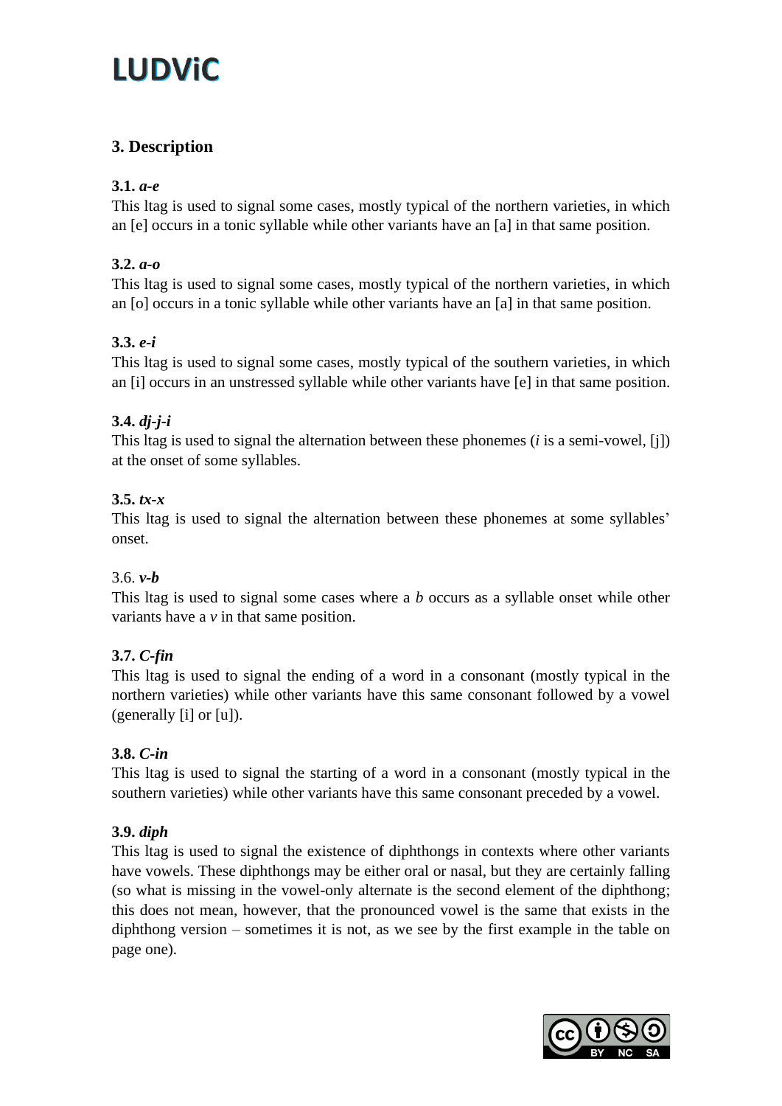# **LUDViC**

## **3. Description**

### **3.1.** *a-e*

This ltag is used to signal some cases, mostly typical of the northern varieties, in which an [e] occurs in a tonic syllable while other variants have an [a] in that same position.

#### **3.2.** *a-o*

This ltag is used to signal some cases, mostly typical of the northern varieties, in which an [o] occurs in a tonic syllable while other variants have an [a] in that same position.

### **3.3.** *e-i*

This ltag is used to signal some cases, mostly typical of the southern varieties, in which an [i] occurs in an unstressed syllable while other variants have [e] in that same position.

#### **3.4.** *dj-j-i*

This ltag is used to signal the alternation between these phonemes (*i* is a semi-vowel, [j]) at the onset of some syllables.

#### **3.5.** *tx-x*

This ltag is used to signal the alternation between these phonemes at some syllables' onset.

#### 3.6. *v-b*

This ltag is used to signal some cases where a *b* occurs as a syllable onset while other variants have a *v* in that same position.

#### **3.7.** *C-fin*

This ltag is used to signal the ending of a word in a consonant (mostly typical in the northern varieties) while other variants have this same consonant followed by a vowel (generally [i] or [u]).

#### **3.8.** *C-in*

This ltag is used to signal the starting of a word in a consonant (mostly typical in the southern varieties) while other variants have this same consonant preceded by a vowel.

#### **3.9.** *diph*

This ltag is used to signal the existence of diphthongs in contexts where other variants have vowels. These diphthongs may be either oral or nasal, but they are certainly falling (so what is missing in the vowel-only alternate is the second element of the diphthong; this does not mean, however, that the pronounced vowel is the same that exists in the diphthong version – sometimes it is not, as we see by the first example in the table on page one).